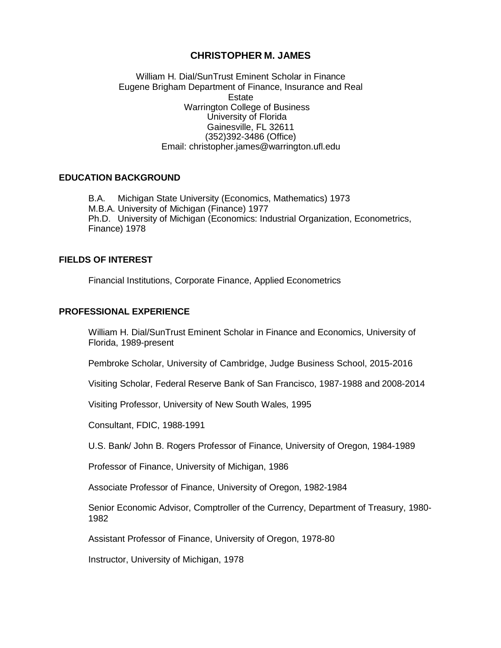## **CHRISTOPHER M. JAMES**

William H. Dial/SunTrust Eminent Scholar in Finance Eugene Brigham Department of Finance, Insurance and Real Estate Warrington College of Business University of Florida Gainesville, FL 32611 (352)392-3486 (Office) Email: [christopher.james@warrington.ufl.edu](mailto:christopher.james@warrington.ufl.edu)

### **EDUCATION BACKGROUND**

B.A. Michigan State University (Economics, Mathematics) 1973 M.B.A. University of Michigan (Finance) 1977 Ph.D. University of Michigan (Economics: Industrial Organization, Econometrics, Finance) 1978

#### **FIELDS OF INTEREST**

Financial Institutions, Corporate Finance, Applied Econometrics

#### **PROFESSIONAL EXPERIENCE**

William H. Dial/SunTrust Eminent Scholar in Finance and Economics, University of Florida, 1989-present

Pembroke Scholar, University of Cambridge, Judge Business School, 2015-2016

Visiting Scholar, Federal Reserve Bank of San Francisco, 1987-1988 and 2008-2014

Visiting Professor, University of New South Wales, 1995

Consultant, FDIC, 1988-1991

U.S. Bank/ John B. Rogers Professor of Finance, University of Oregon, 1984-1989

Professor of Finance, University of Michigan, 1986

Associate Professor of Finance, University of Oregon, 1982-1984

Senior Economic Advisor, Comptroller of the Currency, Department of Treasury, 1980- 1982

Assistant Professor of Finance, University of Oregon, 1978-80

Instructor, University of Michigan, 1978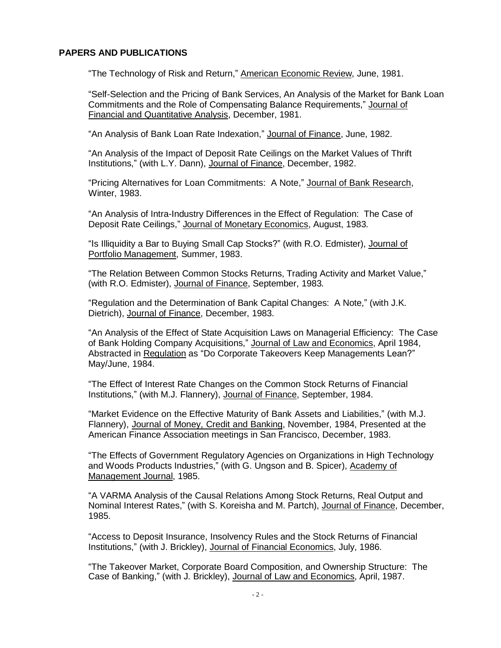### **PAPERS AND PUBLICATIONS**

"The Technology of Risk and Return," American Economic Review, June, 1981.

"Self-Selection and the Pricing of Bank Services, An Analysis of the Market for Bank Loan Commitments and the Role of Compensating Balance Requirements," Journal of Financial and Quantitative Analysis, December, 1981.

"An Analysis of Bank Loan Rate Indexation," Journal of Finance, June, 1982.

"An Analysis of the Impact of Deposit Rate Ceilings on the Market Values of Thrift Institutions," (with L.Y. Dann), Journal of Finance, December, 1982.

"Pricing Alternatives for Loan Commitments: A Note," Journal of Bank Research, Winter, 1983.

"An Analysis of Intra-Industry Differences in the Effect of Regulation: The Case of Deposit Rate Ceilings," Journal of Monetary Economics, August, 1983.

"Is Illiquidity a Bar to Buying Small Cap Stocks?" (with R.O. Edmister), Journal of Portfolio Management, Summer, 1983.

"The Relation Between Common Stocks Returns, Trading Activity and Market Value," (with R.O. Edmister), Journal of Finance, September, 1983.

"Regulation and the Determination of Bank Capital Changes: A Note," (with J.K. Dietrich), Journal of Finance, December, 1983.

"An Analysis of the Effect of State Acquisition Laws on Managerial Efficiency: The Case of Bank Holding Company Acquisitions," Journal of Law and Economics, April 1984, Abstracted in Regulation as "Do Corporate Takeovers Keep Managements Lean?" May/June, 1984.

"The Effect of Interest Rate Changes on the Common Stock Returns of Financial Institutions," (with M.J. Flannery), Journal of Finance, September, 1984.

"Market Evidence on the Effective Maturity of Bank Assets and Liabilities," (with M.J. Flannery), Journal of Money, Credit and Banking, November, 1984, Presented at the American Finance Association meetings in San Francisco, December, 1983.

"The Effects of Government Regulatory Agencies on Organizations in High Technology and Woods Products Industries," (with G. Ungson and B. Spicer), Academy of Management Journal, 1985.

"A VARMA Analysis of the Causal Relations Among Stock Returns, Real Output and Nominal Interest Rates," (with S. Koreisha and M. Partch), Journal of Finance, December, 1985.

"Access to Deposit Insurance, Insolvency Rules and the Stock Returns of Financial Institutions," (with J. Brickley), Journal of Financial Economics, July, 1986.

"The Takeover Market, Corporate Board Composition, and Ownership Structure: The Case of Banking," (with J. Brickley), Journal of Law and Economics, April, 1987.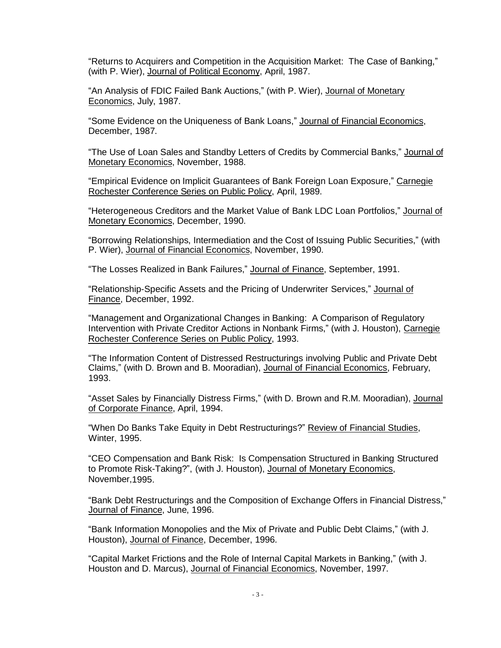"Returns to Acquirers and Competition in the Acquisition Market: The Case of Banking," (with P. Wier), Journal of Political Economy, April, 1987.

"An Analysis of FDIC Failed Bank Auctions," (with P. Wier), Journal of Monetary Economics, July, 1987.

"Some Evidence on the Uniqueness of Bank Loans," Journal of Financial Economics, December, 1987.

"The Use of Loan Sales and Standby Letters of Credits by Commercial Banks," Journal of Monetary Economics, November, 1988.

"Empirical Evidence on Implicit Guarantees of Bank Foreign Loan Exposure," Carnegie Rochester Conference Series on Public Policy, April, 1989.

"Heterogeneous Creditors and the Market Value of Bank LDC Loan Portfolios," Journal of Monetary Economics, December, 1990.

"Borrowing Relationships, Intermediation and the Cost of Issuing Public Securities," (with P. Wier), Journal of Financial Economics, November, 1990.

"The Losses Realized in Bank Failures," Journal of Finance, September, 1991.

"Relationship-Specific Assets and the Pricing of Underwriter Services," Journal of Finance, December, 1992.

"Management and Organizational Changes in Banking: A Comparison of Regulatory Intervention with Private Creditor Actions in Nonbank Firms," (with J. Houston), Carnegie Rochester Conference Series on Public Policy, 1993.

"The Information Content of Distressed Restructurings involving Public and Private Debt Claims," (with D. Brown and B. Mooradian), Journal of Financial Economics, February, 1993.

"Asset Sales by Financially Distress Firms," (with D. Brown and R.M. Mooradian), Journal of Corporate Finance, April, 1994.

"When Do Banks Take Equity in Debt Restructurings?" Review of Financial Studies, Winter, 1995.

"CEO Compensation and Bank Risk: Is Compensation Structured in Banking Structured to Promote Risk-Taking?", (with J. Houston), Journal of Monetary Economics, November,1995.

"Bank Debt Restructurings and the Composition of Exchange Offers in Financial Distress," Journal of Finance, June, 1996.

"Bank Information Monopolies and the Mix of Private and Public Debt Claims," (with J. Houston), Journal of Finance, December, 1996.

"Capital Market Frictions and the Role of Internal Capital Markets in Banking," (with J. Houston and D. Marcus), Journal of Financial Economics, November, 1997.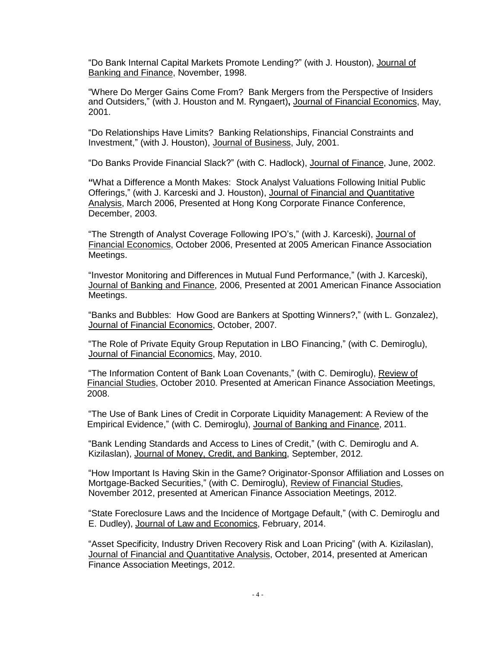"Do Bank Internal Capital Markets Promote Lending?" (with J. Houston), Journal of Banking and Finance, November, 1998.

"Where Do Merger Gains Come From? Bank Mergers from the Perspective of Insiders and Outsiders," (with J. Houston and M. Ryngaert)**,** Journal of Financial Economics, May, 2001.

"Do Relationships Have Limits? Banking Relationships, Financial Constraints and Investment," (with J. Houston), Journal of Business, July, 2001.

"Do Banks Provide Financial Slack?" (with C. Hadlock), Journal of Finance, June, 2002.

**"**What a Difference a Month Makes: Stock Analyst Valuations Following Initial Public Offerings," (with J. Karceski and J. Houston), Journal of Financial and Quantitative Analysis, March 2006, Presented at Hong Kong Corporate Finance Conference, December, 2003.

"The Strength of Analyst Coverage Following IPO's," (with J. Karceski), Journal of Financial Economics, October 2006, Presented at 2005 American Finance Association Meetings.

"Investor Monitoring and Differences in Mutual Fund Performance," (with J. Karceski), Journal of Banking and Finance, 2006, Presented at 2001 American Finance Association Meetings.

"Banks and Bubbles: How Good are Bankers at Spotting Winners?," (with L. Gonzalez), Journal of Financial Economics, October, 2007.

"The Role of Private Equity Group Reputation in LBO Financing," (with C. Demiroglu), Journal of Financial Economics, May, 2010.

"The Information Content of Bank Loan Covenants," (with C. Demiroglu), Review of Financial Studies, October 2010. Presented at American Finance Association Meetings, 2008.

"The Use of Bank Lines of Credit in Corporate Liquidity Management: A Review of the Empirical Evidence," (with C. Demiroglu), Journal of Banking and Finance, 2011.

"Bank Lending Standards and Access to Lines of Credit," (with C. Demiroglu and A. Kizilaslan), Journal of Money, Credit, and Banking, September, 2012.

"How Important Is Having Skin in the Game? Originator-Sponsor Affiliation and Losses on Mortgage-Backed Securities," (with C. Demiroglu), Review of Financial Studies, November 2012, presented at American Finance Association Meetings, 2012.

"State Foreclosure Laws and the Incidence of Mortgage Default," (with C. Demiroglu and E. Dudley), Journal of Law and Economics, February, 2014.

"Asset Specificity, Industry Driven Recovery Risk and Loan Pricing" (with A. Kizilaslan), Journal of Financial and Quantitative Analysis, October, 2014, presented at American Finance Association Meetings, 2012.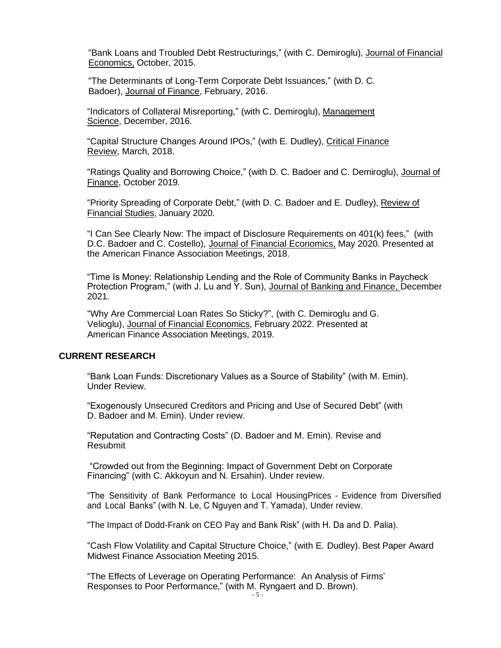"Bank Loans and Troubled Debt Restructurings," (with C. Demiroglu), Journal of Financial Economics, October, 2015.

"The Determinants of Long-Term Corporate Debt Issuances," (with D. C. Badoer), Journal of Finance, February, 2016.

"Indicators of Collateral Misreporting," (with C. Demiroglu), Management Science, December, 2016.

"Capital Structure Changes Around IPOs," (with E. Dudley), Critical Finance Review, March, 2018.

"Ratings Quality and Borrowing Choice," (with D. C. Badoer and C. Demiroglu), Journal of Finance, October 2019.

"Priority Spreading of Corporate Debt," (with D. C. Badoer and E. Dudley), Review of Financial Studies, January 2020.

"I Can See Clearly Now: The impact of Disclosure Requirements on 401(k) fees," (with D.C. Badoer and C. Costello), Journal of Financial Economics, May 2020. Presented at the American Finance Association Meetings, 2018.

"Time Is Money: Relationship Lending and the Role of Community Banks in Paycheck Protection Program," (with J. Lu and Y. Sun), Journal of Banking and Finance, December 2021.

"Why Are Commercial Loan Rates So Sticky?", (with C. Demiroglu and G. Velioglu), Journal of Financial Economics, February 2022. Presented at American Finance Association Meetings, 2019.

# **CURRENT RESEARCH**

"Bank Loan Funds: Discretionary Values as a Source of Stability" (with M. Emin). Under Review.

"Exogenously Unsecured Creditors and Pricing and Use of Secured Debt" (with D. [Badoer](https://papers.ssrn.com/sol3/cf_dev/AbsByAuth.cfm?per_id=3964851) and M. Emin). Under review.

"Reputation and Contracting Costs" (D. [Badoer](https://papers.ssrn.com/sol3/cf_dev/AbsByAuth.cfm?per_id=3964851) and M. Emin). Revise and Resubmit

"Crowded out from the Beginning: Impact of Government Debt on Corporate Financing" (with C. Akkoyun and N. Ersahin). Under review.

"The Sensitivity of Bank Performance to Local HousingPrices - Evidence from Diversified and Local Banks" (with N. Le, C Nguyen and T. Yamada), Under review.

"The Impact of Dodd-Frank on CEO Pay and Bank Risk" (with H. Da and D. Palia).

"Cash Flow Volatility and Capital Structure Choice," (with E. Dudley). Best Paper Award Midwest Finance Association Meeting 2015.

"The Effects of Leverage on Operating Performance: An Analysis of Firms' Responses to Poor Performance," (with M. Ryngaert and D. Brown).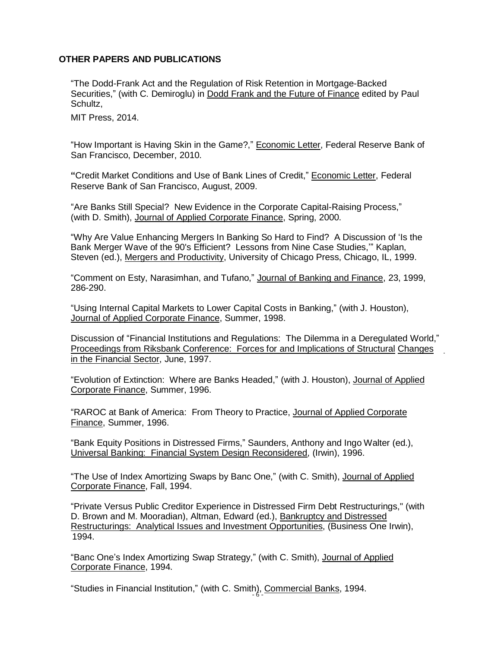## **OTHER PAPERS AND PUBLICATIONS**

"The Dodd-Frank Act and the Regulation of Risk Retention in Mortgage-Backed Securities," (with C. Demiroglu) in Dodd Frank and the Future of Finance edited by Paul Schultz,

MIT Press, 2014.

"How Important is Having Skin in the Game?," Economic Letter, Federal Reserve Bank of San Francisco, December, 2010.

**"**Credit Market Conditions and Use of Bank Lines of Credit," Economic Letter, Federal Reserve Bank of San Francisco, August, 2009.

"Are Banks Still Special? New Evidence in the Corporate Capital-Raising Process," (with D. Smith), Journal of Applied Corporate Finance, Spring, 2000.

"Why Are Value Enhancing Mergers In Banking So Hard to Find? A Discussion of 'Is the Bank Merger Wave of the 90's Efficient? Lessons from Nine Case Studies,'" Kaplan, Steven (ed.), Mergers and Productivity, University of Chicago Press, Chicago, IL, 1999.

"Comment on Esty, Narasimhan, and Tufano," Journal of Banking and Finance, 23, 1999, 286-290.

"Using Internal Capital Markets to Lower Capital Costs in Banking," (with J. Houston), Journal of Applied Corporate Finance, Summer, 1998.

Discussion of "Financial Institutions and Regulations: The Dilemma in a Deregulated World," Proceedings from Riksbank Conference: Forces for and Implications of Structural Changes in the Financial Sector, June, 1997.

"Evolution of Extinction: Where are Banks Headed," (with J. Houston), Journal of Applied Corporate Finance, Summer, 1996.

"RAROC at Bank of America: From Theory to Practice, Journal of Applied Corporate Finance, Summer, 1996.

"Bank Equity Positions in Distressed Firms," Saunders, Anthony and Ingo Walter (ed.), Universal Banking: Financial System Design Reconsidered, (Irwin), 1996.

"The Use of Index Amortizing Swaps by Banc One," (with C. Smith), Journal of Applied Corporate Finance, Fall, 1994.

"Private Versus Public Creditor Experience in Distressed Firm Debt Restructurings," (with D. Brown and M. Mooradian), Altman, Edward (ed.), **Bankruptcy and Distressed** Restructurings: Analytical Issues and Investment Opportunities, (Business One Irwin), 1994.

"Banc One's Index Amortizing Swap Strategy," (with C. Smith), Journal of Applied Corporate Finance, 1994.

"Studies in Financial Institution," (with C. Smith), Commercial Banks, 1994.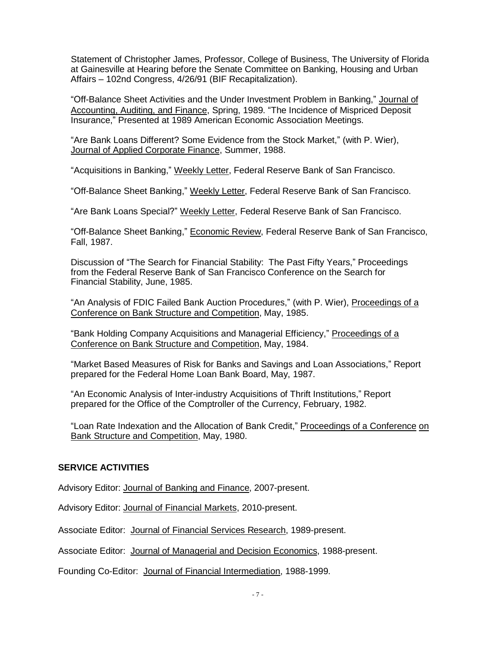Statement of Christopher James, Professor, College of Business, The University of Florida at Gainesville at Hearing before the Senate Committee on Banking, Housing and Urban Affairs – 102nd Congress, 4/26/91 (BIF Recapitalization).

"Off-Balance Sheet Activities and the Under Investment Problem in Banking," Journal of Accounting, Auditing, and Finance, Spring, 1989. "The Incidence of Mispriced Deposit Insurance," Presented at 1989 American Economic Association Meetings.

"Are Bank Loans Different? Some Evidence from the Stock Market," (with P. Wier), Journal of Applied Corporate Finance, Summer, 1988.

"Acquisitions in Banking," Weekly Letter, Federal Reserve Bank of San Francisco.

"Off-Balance Sheet Banking," Weekly Letter, Federal Reserve Bank of San Francisco.

"Are Bank Loans Special?" Weekly Letter, Federal Reserve Bank of San Francisco.

"Off-Balance Sheet Banking," Economic Review, Federal Reserve Bank of San Francisco, Fall, 1987.

Discussion of "The Search for Financial Stability: The Past Fifty Years," Proceedings from the Federal Reserve Bank of San Francisco Conference on the Search for Financial Stability, June, 1985.

"An Analysis of FDIC Failed Bank Auction Procedures," (with P. Wier), Proceedings of a Conference on Bank Structure and Competition, May, 1985.

"Bank Holding Company Acquisitions and Managerial Efficiency," Proceedings of a Conference on Bank Structure and Competition, May, 1984.

"Market Based Measures of Risk for Banks and Savings and Loan Associations," Report prepared for the Federal Home Loan Bank Board, May, 1987.

"An Economic Analysis of Inter-industry Acquisitions of Thrift Institutions," Report prepared for the Office of the Comptroller of the Currency, February, 1982.

"Loan Rate Indexation and the Allocation of Bank Credit," Proceedings of a Conference on Bank Structure and Competition, May, 1980.

# **SERVICE ACTIVITIES**

Advisory Editor: Journal of Banking and Finance, 2007-present.

Advisory Editor: Journal of Financial Markets, 2010-present.

Associate Editor: Journal of Financial Services Research, 1989-present.

Associate Editor: Journal of Managerial and Decision Economics, 1988-present.

Founding Co-Editor: Journal of Financial Intermediation, 1988-1999.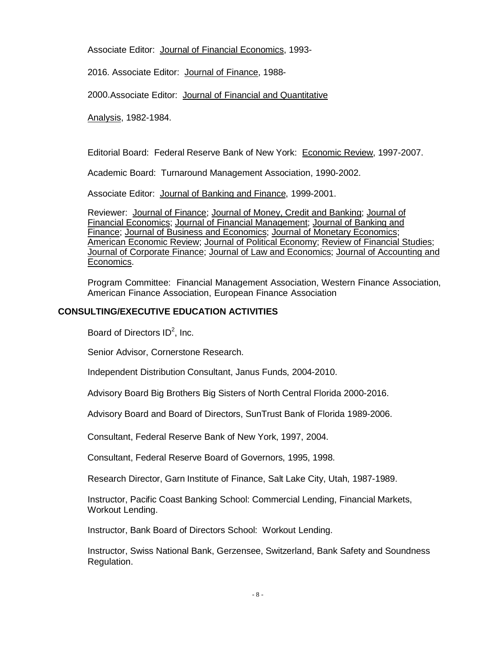Associate Editor: Journal of Financial Economics, 1993-

2016. Associate Editor: Journal of Finance, 1988-

2000.Associate Editor: Journal of Financial and Quantitative

Analysis, 1982-1984.

Editorial Board: Federal Reserve Bank of New York: Economic Review, 1997-2007.

Academic Board: Turnaround Management Association, 1990-2002.

Associate Editor: Journal of Banking and Finance, 1999-2001.

Reviewer: Journal of Finance; Journal of Money, Credit and Banking; Journal of Financial Economics; Journal of Financial Management; Journal of Banking and Finance; Journal of Business and Economics; Journal of Monetary Economics; American Economic Review; Journal of Political Economy; Review of Financial Studies; Journal of Corporate Finance; Journal of Law and Economics; Journal of Accounting and Economics.

Program Committee: Financial Management Association, Western Finance Association, American Finance Association, European Finance Association

## **CONSULTING/EXECUTIVE EDUCATION ACTIVITIES**

Board of Directors  $ID^2$ , Inc.

Senior Advisor, Cornerstone Research.

Independent Distribution Consultant, Janus Funds, 2004-2010.

Advisory Board Big Brothers Big Sisters of North Central Florida 2000-2016.

Advisory Board and Board of Directors, SunTrust Bank of Florida 1989-2006.

Consultant, Federal Reserve Bank of New York, 1997, 2004.

Consultant, Federal Reserve Board of Governors, 1995, 1998.

Research Director, Garn Institute of Finance, Salt Lake City, Utah, 1987-1989.

Instructor, Pacific Coast Banking School: Commercial Lending, Financial Markets, Workout Lending.

Instructor, Bank Board of Directors School: Workout Lending.

Instructor, Swiss National Bank, Gerzensee, Switzerland, Bank Safety and Soundness Regulation.